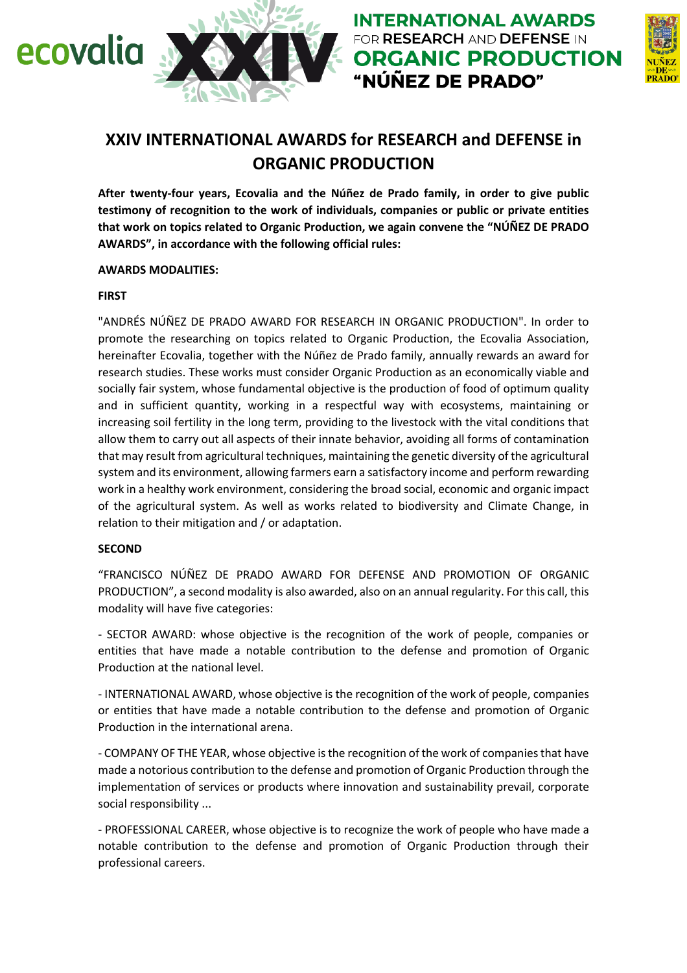



# **XXIV INTERNATIONAL AWARDS for RESEARCH and DEFENSE in ORGANIC PRODUCTION**

**After twenty-four years, Ecovalia and the Núñez de Prado family, in order to give public testimony of recognition to the work of individuals, companies or public or private entities that work on topics related to Organic Production, we again convene the "NÚÑEZ DE PRADO AWARDS", in accordance with the following official rules:**

#### **AWARDS MODALITIES:**

#### **FIRST**

"ANDRÉS NÚÑEZ DE PRADO AWARD FOR RESEARCH IN ORGANIC PRODUCTION". In order to promote the researching on topics related to Organic Production, the Ecovalia Association, hereinafter Ecovalia, together with the Núñez de Prado family, annually rewards an award for research studies. These works must consider Organic Production as an economically viable and socially fair system, whose fundamental objective is the production of food of optimum quality and in sufficient quantity, working in a respectful way with ecosystems, maintaining or increasing soil fertility in the long term, providing to the livestock with the vital conditions that allow them to carry out all aspects of their innate behavior, avoiding all forms of contamination that may result from agricultural techniques, maintaining the genetic diversity of the agricultural system and its environment, allowing farmers earn a satisfactory income and perform rewarding work in a healthy work environment, considering the broad social, economic and organic impact of the agricultural system. As well as works related to biodiversity and Climate Change, in relation to their mitigation and / or adaptation.

#### **SECOND**

"FRANCISCO NÚÑEZ DE PRADO AWARD FOR DEFENSE AND PROMOTION OF ORGANIC PRODUCTION", a second modality is also awarded, also on an annual regularity. For this call, this modality will have five categories:

- SECTOR AWARD: whose objective is the recognition of the work of people, companies or entities that have made a notable contribution to the defense and promotion of Organic Production at the national level.

- INTERNATIONAL AWARD, whose objective is the recognition of the work of people, companies or entities that have made a notable contribution to the defense and promotion of Organic Production in the international arena.

- COMPANY OF THE YEAR, whose objective is the recognition of the work of companies that have made a notorious contribution to the defense and promotion of Organic Production through the implementation of services or products where innovation and sustainability prevail, corporate social responsibility ...

- PROFESSIONAL CAREER, whose objective is to recognize the work of people who have made a notable contribution to the defense and promotion of Organic Production through their professional careers.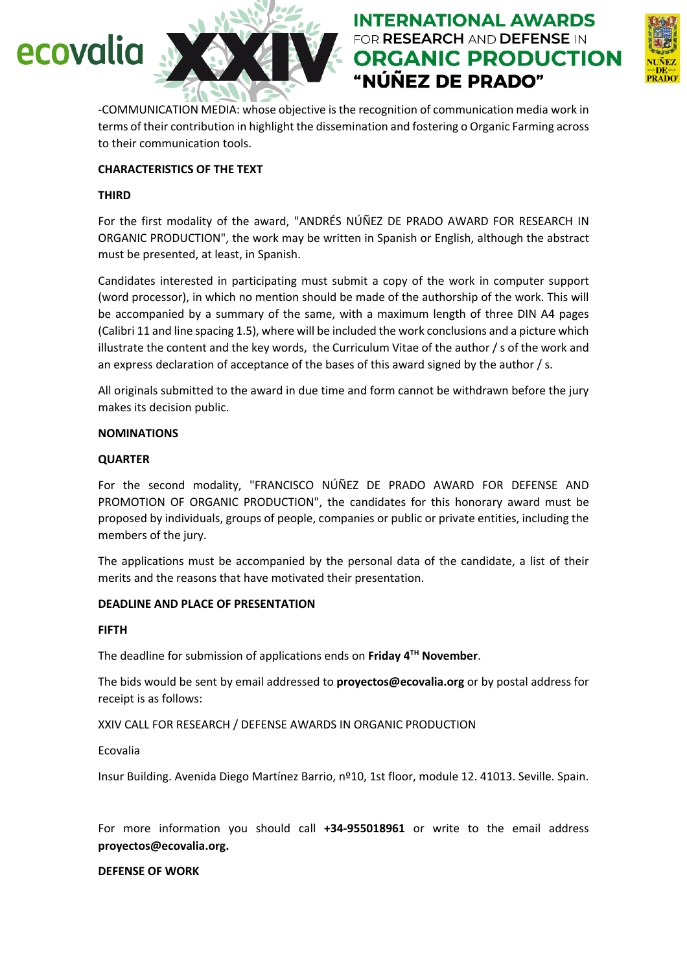# ecovalia





-COMMUNICATION MEDIA: whose objective is the recognition of communication media work in terms of their contribution in highlight the dissemination and fostering o Organic Farming across to their communication tools.

# **CHARACTERISTICS OF THE TEXT**

### **THIRD**

For the first modality of the award, "ANDRÉS NÚÑEZ DE PRADO AWARD FOR RESEARCH IN ORGANIC PRODUCTION", the work may be written in Spanish or English, although the abstract must be presented, at least, in Spanish.

Candidates interested in participating must submit a copy of the work in computer support (word processor), in which no mention should be made of the authorship of the work. This will be accompanied by a summary of the same, with a maximum length of three DIN A4 pages (Calibri 11 and line spacing 1.5), where will be included the work conclusions and a picture which illustrate the content and the key words, the Curriculum Vitae of the author / s of the work and an express declaration of acceptance of the bases of this award signed by the author / s.

All originals submitted to the award in due time and form cannot be withdrawn before the jury makes its decision public.

#### **NOMINATIONS**

#### **QUARTER**

For the second modality, "FRANCISCO NÚÑEZ DE PRADO AWARD FOR DEFENSE AND PROMOTION OF ORGANIC PRODUCTION", the candidates for this honorary award must be proposed by individuals, groups of people, companies or public or private entities, including the members of the jury.

The applications must be accompanied by the personal data of the candidate, a list of their merits and the reasons that have motivated their presentation.

#### **DEADLINE AND PLACE OF PRESENTATION**

# **FIFTH**

The deadline for submission of applications ends on **Friday 4TH November**.

The bids would be sent by email addressed to **proyectos@ecovalia.org** or by postal address for receipt is as follows:

XXIV CALL FOR RESEARCH / DEFENSE AWARDS IN ORGANIC PRODUCTION

Ecovalia

Insur Building. Avenida Diego Martínez Barrio, nº10, 1st floor, module 12. 41013. Seville. Spain.

For more information you should call **+34-955018961** or write to the email address **proyectos@ecovalia.org.**

**DEFENSE OF WORK**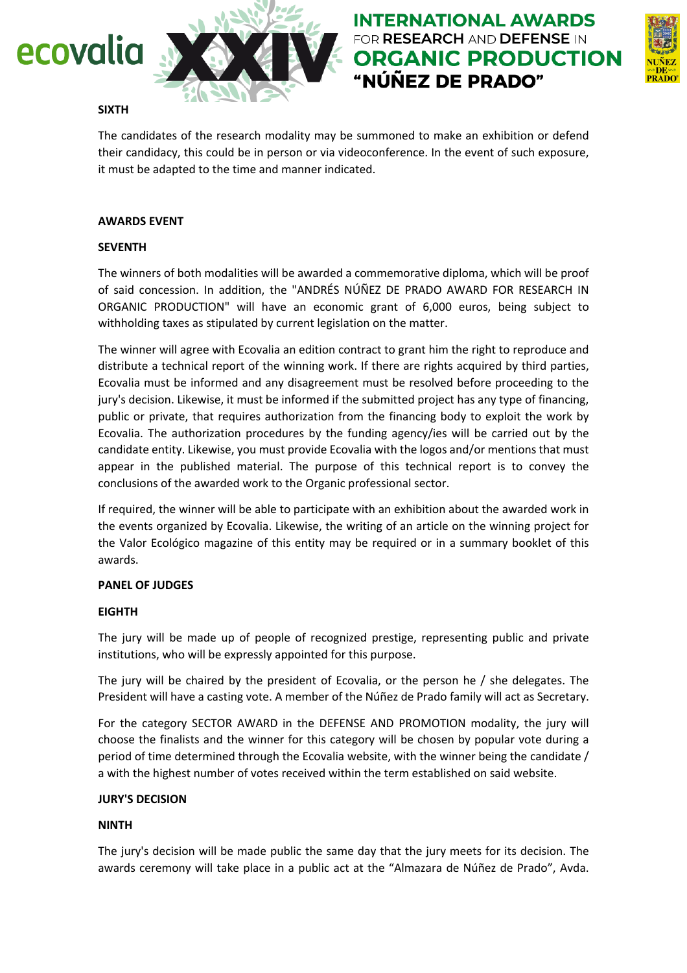

# **INTERNATIONAL AWARDS** FOR RESEARCH AND DEFENSE IN **ORGANIC PRODUCTION** "NÚÑEZ DE PRADO"



#### **SIXTH**

The candidates of the research modality may be summoned to make an exhibition or defend their candidacy, this could be in person or via videoconference. In the event of such exposure, it must be adapted to the time and manner indicated.

#### **AWARDS EVENT**

#### **SEVENTH**

The winners of both modalities will be awarded a commemorative diploma, which will be proof of said concession. In addition, the "ANDRÉS NÚÑEZ DE PRADO AWARD FOR RESEARCH IN ORGANIC PRODUCTION" will have an economic grant of 6,000 euros, being subject to withholding taxes as stipulated by current legislation on the matter.

The winner will agree with Ecovalia an edition contract to grant him the right to reproduce and distribute a technical report of the winning work. If there are rights acquired by third parties, Ecovalia must be informed and any disagreement must be resolved before proceeding to the jury's decision. Likewise, it must be informed if the submitted project has any type of financing, public or private, that requires authorization from the financing body to exploit the work by Ecovalia. The authorization procedures by the funding agency/ies will be carried out by the candidate entity. Likewise, you must provide Ecovalia with the logos and/or mentions that must appear in the published material. The purpose of this technical report is to convey the conclusions of the awarded work to the Organic professional sector.

If required, the winner will be able to participate with an exhibition about the awarded work in the events organized by Ecovalia. Likewise, the writing of an article on the winning project for the Valor Ecológico magazine of this entity may be required or in a summary booklet of this awards.

# **PANEL OF JUDGES**

# **EIGHTH**

The jury will be made up of people of recognized prestige, representing public and private institutions, who will be expressly appointed for this purpose.

The jury will be chaired by the president of Ecovalia, or the person he / she delegates. The President will have a casting vote. A member of the Núñez de Prado family will act as Secretary.

For the category SECTOR AWARD in the DEFENSE AND PROMOTION modality, the jury will choose the finalists and the winner for this category will be chosen by popular vote during a period of time determined through the Ecovalia website, with the winner being the candidate / a with the highest number of votes received within the term established on said website.

#### **JURY'S DECISION**

# **NINTH**

The jury's decision will be made public the same day that the jury meets for its decision. The awards ceremony will take place in a public act at the "Almazara de Núñez de Prado", Avda.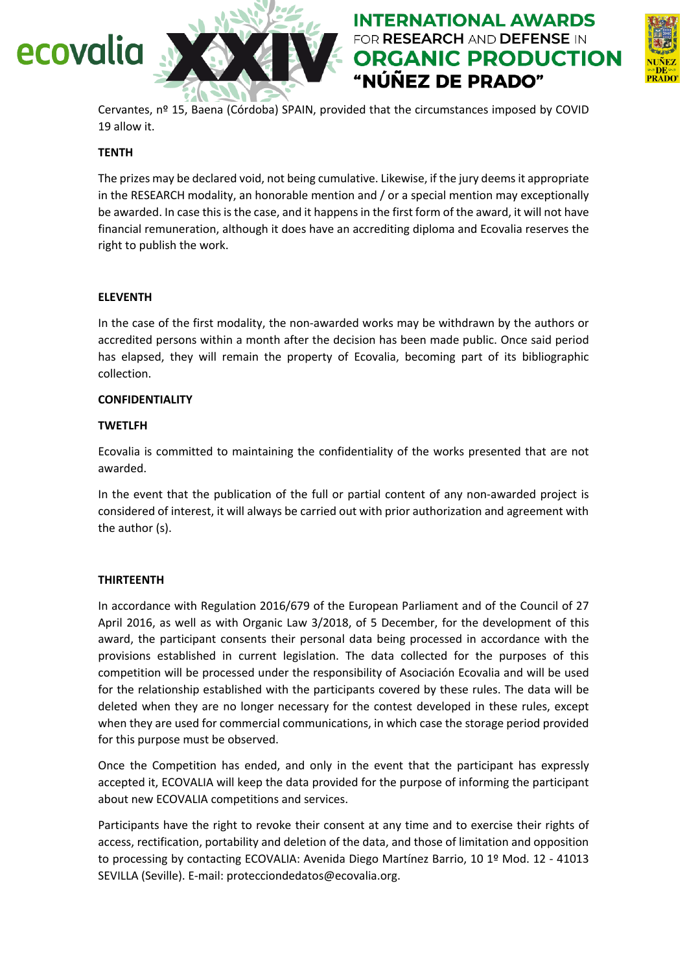# ecovalia



Cervantes, nº 15, Baena (Córdoba) SPAIN, provided that the circumstances imposed by COVID 19 allow it.

**INTERNATIONAL AWARDS** FOR RESEARCH AND DEFENSE IN

"NÚÑEZ DE PRADO"

**ORGANIC PRODUCTION** 

#### **TENTH**

The prizes may be declared void, not being cumulative. Likewise, if the jury deems it appropriate in the RESEARCH modality, an honorable mention and / or a special mention may exceptionally be awarded. In case this is the case, and it happens in the first form of the award, it will not have financial remuneration, although it does have an accrediting diploma and Ecovalia reserves the right to publish the work.

#### **ELEVENTH**

In the case of the first modality, the non-awarded works may be withdrawn by the authors or accredited persons within a month after the decision has been made public. Once said period has elapsed, they will remain the property of Ecovalia, becoming part of its bibliographic collection.

#### **CONFIDENTIALITY**

#### **TWETLFH**

Ecovalia is committed to maintaining the confidentiality of the works presented that are not awarded.

In the event that the publication of the full or partial content of any non-awarded project is considered of interest, it will always be carried out with prior authorization and agreement with the author (s).

#### **THIRTEENTH**

In accordance with Regulation 2016/679 of the European Parliament and of the Council of 27 April 2016, as well as with Organic Law 3/2018, of 5 December, for the development of this award, the participant consents their personal data being processed in accordance with the provisions established in current legislation. The data collected for the purposes of this competition will be processed under the responsibility of Asociación Ecovalia and will be used for the relationship established with the participants covered by these rules. The data will be deleted when they are no longer necessary for the contest developed in these rules, except when they are used for commercial communications, in which case the storage period provided for this purpose must be observed.

Once the Competition has ended, and only in the event that the participant has expressly accepted it, ECOVALIA will keep the data provided for the purpose of informing the participant about new ECOVALIA competitions and services.

Participants have the right to revoke their consent at any time and to exercise their rights of access, rectification, portability and deletion of the data, and those of limitation and opposition to processing by contacting ECOVALIA: Avenida Diego Martínez Barrio, 10 1º Mod. 12 - 41013 SEVILLA (Seville). E-mail: protecciondedatos@ecovalia.org.